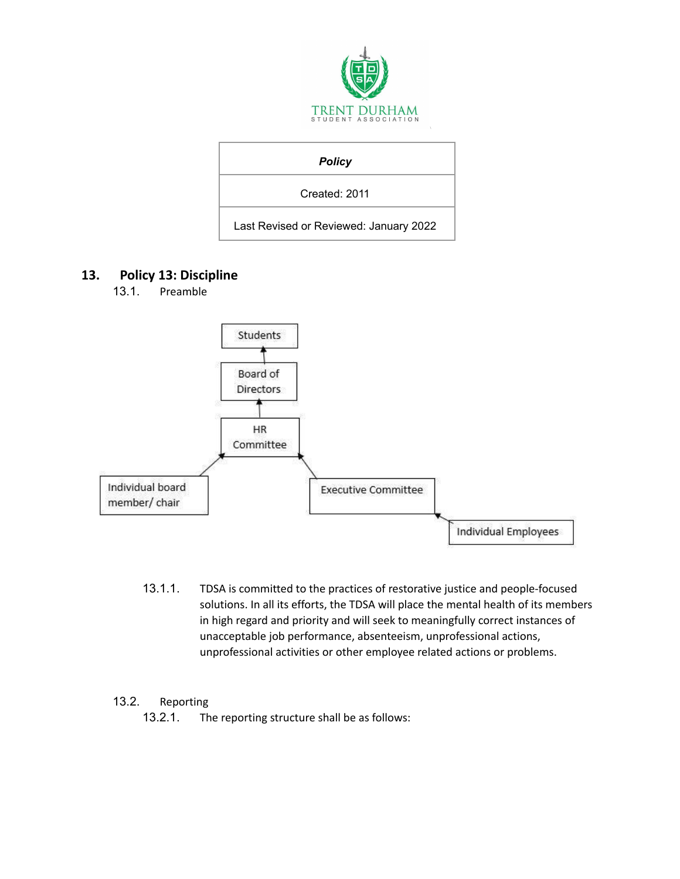

| <b>Policy</b>                          |
|----------------------------------------|
| Created: 2011                          |
| Last Revised or Reviewed: January 2022 |

# **13. Policy 13: Discipline**

13.1. Preamble



13.1.1. TDSA is committed to the practices of restorative justice and people-focused solutions. In all its efforts, the TDSA will place the mental health of its members in high regard and priority and will seek to meaningfully correct instances of unacceptable job performance, absenteeism, unprofessional actions, unprofessional activities or other employee related actions or problems.

## 13.2. Reporting

13.2.1. The reporting structure shall be as follows: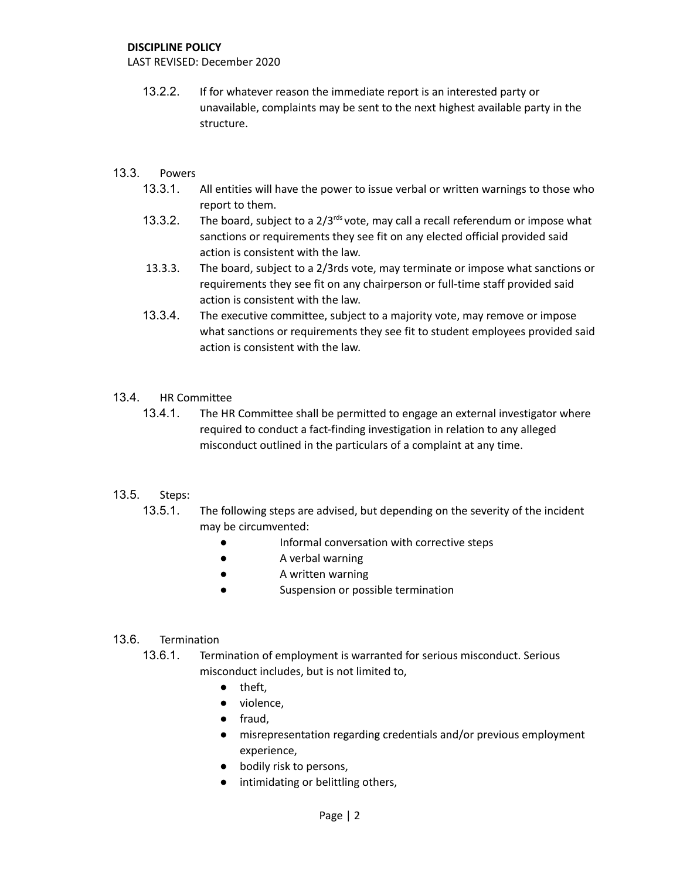#### **DISCIPLINE POLICY**

LAST REVISED: December 2020

13.2.2. If for whatever reason the immediate report is an interested party or unavailable, complaints may be sent to the next highest available party in the structure.

## 13.3. Powers

- 13.3.1. All entities will have the power to issue verbal or written warnings to those who report to them.
- 13.3.2. The board, subject to a  $2/3^{rds}$  vote, may call a recall referendum or impose what sanctions or requirements they see fit on any elected official provided said action is consistent with the law.
- 13.3.3. The board, subject to a 2/3rds vote, may terminate or impose what sanctions or requirements they see fit on any chairperson or full-time staff provided said action is consistent with the law.
- 13.3.4. The executive committee, subject to a majority vote, may remove or impose what sanctions or requirements they see fit to student employees provided said action is consistent with the law.

## 13.4. HR Committee

13.4.1. The HR Committee shall be permitted to engage an external investigator where required to conduct a fact-finding investigation in relation to any alleged misconduct outlined in the particulars of a complaint at any time.

## 13.5. Steps:

- 13.5.1. The following steps are advised, but depending on the severity of the incident may be circumvented:
	- Informal conversation with corrective steps
	- A verbal warning
	- A written warning
	- Suspension or possible termination

#### 13.6. Termination

- 13.6.1. Termination of employment is warranted for serious misconduct. Serious misconduct includes, but is not limited to,
	- theft,
	- violence,
	- fraud,
	- misrepresentation regarding credentials and/or previous employment experience,
	- bodily risk to persons,
	- intimidating or belittling others,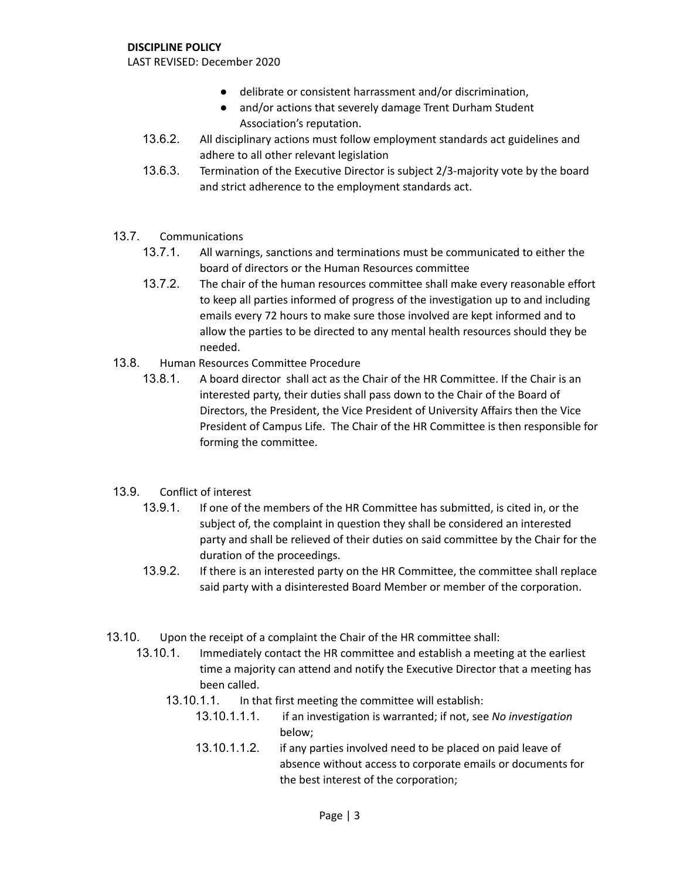#### **DISCIPLINE POLICY**

LAST REVISED: December 2020

- delibrate or consistent harrassment and/or discrimination,
- and/or actions that severely damage Trent Durham Student Association's reputation.
- 13.6.2. All disciplinary actions must follow employment standards act guidelines and adhere to all other relevant legislation
- 13.6.3. Termination of the Executive Director is subject 2/3-majority vote by the board and strict adherence to the employment standards act.
- 13.7. Communications
	- 13.7.1. All warnings, sanctions and terminations must be communicated to either the board of directors or the Human Resources committee
	- 13.7.2. The chair of the human resources committee shall make every reasonable effort to keep all parties informed of progress of the investigation up to and including emails every 72 hours to make sure those involved are kept informed and to allow the parties to be directed to any mental health resources should they be needed.
- 13.8. Human Resources Committee Procedure
	- 13.8.1. A board director shall act as the Chair of the HR Committee. If the Chair is an interested party, their duties shall pass down to the Chair of the Board of Directors, the President, the Vice President of University Affairs then the Vice President of Campus Life. The Chair of the HR Committee is then responsible for forming the committee.
- 13.9. Conflict of interest
	- 13.9.1. If one of the members of the HR Committee has submitted, is cited in, or the subject of, the complaint in question they shall be considered an interested party and shall be relieved of their duties on said committee by the Chair for the duration of the proceedings.
	- 13.9.2. If there is an interested party on the HR Committee, the committee shall replace said party with a disinterested Board Member or member of the corporation.
- 13.10. Upon the receipt of a complaint the Chair of the HR committee shall:
	- 13.10.1. Immediately contact the HR committee and establish a meeting at the earliest time a majority can attend and notify the Executive Director that a meeting has been called.
		- 13.10.1.1. In that first meeting the committee will establish:
			- 13.10.1.1.1. if an investigation is warranted; if not, see *No investigation* below;
			- 13.10.1.1.2. if any parties involved need to be placed on paid leave of absence without access to corporate emails or documents for the best interest of the corporation;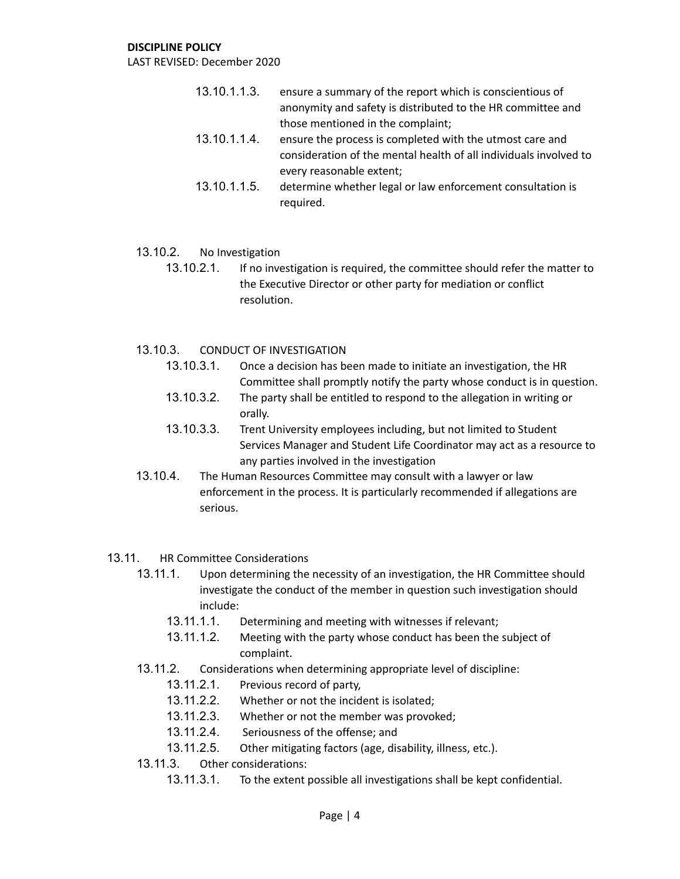#### **DISCIPLINE POLICY**

LAST REVISED: December 2020

- 13.10.1.1.3. ensure a summary of the report which is conscientious of anonymity and safety is distributed to the HR committee and those mentioned in the complaint;
- 13.10.1.1.4. ensure the process is completed with the utmost care and consideration of the mental health of all individuals involved to every reasonable extent;
- 13.10.1.1.5. determine whether legal or law enforcement consultation is required.
- 13.10.2. No Investigation
	- 13.10.2.1. If no investigation is required, the committee should refer the matter to the Executive Director or other party for mediation or conflict resolution.
- 13.10.3. CONDUCT OF INVESTIGATION
	- 13.10.3.1. Once a decision has been made to initiate an investigation, the HR Committee shall promptly notify the party whose conduct is in question.
	- 13.10.3.2. The party shall be entitled to respond to the allegation in writing or orally.
	- 13.10.3.3. Trent University employees including, but not limited to Student Services Manager and Student Life Coordinator may act as a resource to any parties involved in the investigation
- 13.10.4. The Human Resources Committee may consult with a lawyer or law enforcement in the process. It is particularly recommended if allegations are serious.
- 13.11. HR Committee Considerations
	- 13.11.1. Upon determining the necessity of an investigation, the HR Committee should investigate the conduct of the member in question such investigation should include:
		- 13.11.1.1. Determining and meeting with witnesses if relevant;
		- 13.11.1.2. Meeting with the party whose conduct has been the subject of complaint.
	- 13.11.2. Considerations when determining appropriate level of discipline:
		- 13.11.2.1. Previous record of party,
		- 13.11.2.2. Whether or not the incident is isolated;
		- 13.11.2.3. Whether or not the member was provoked;
		- 13.11.2.4. Seriousness of the offense; and
		- 13.11.2.5. Other mitigating factors (age, disability, illness, etc.).
	- 13.11.3. Other considerations:
		- 13.11.3.1. To the extent possible all investigations shall be kept confidential.